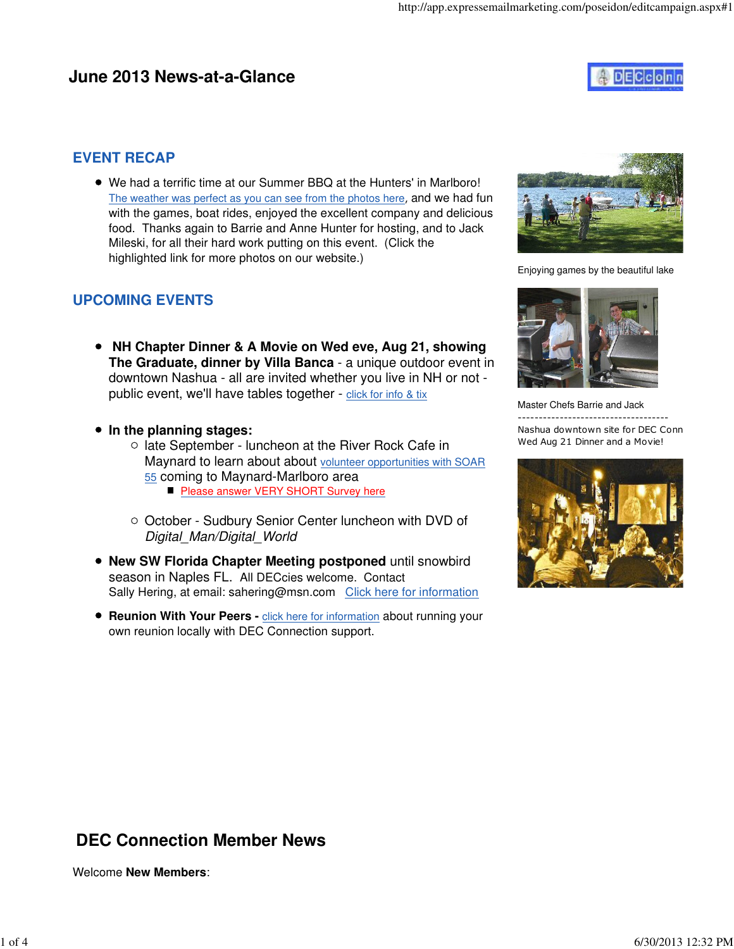## **June 2013 News-at-a-Glance**



### **EVENT RECAP**

We had a terrific time at our Summer BBQ at the Hunters' in Marlboro! The weather was perfect as you can see from the photos here, and we had fun with the games, boat rides, enjoyed the excellent company and delicious food. Thanks again to Barrie and Anne Hunter for hosting, and to Jack Mileski, for all their hard work putting on this event. (Click the highlighted link for more photos on our website.)

## **UPCOMING EVENTS**

- **NH Chapter Dinner & A Movie on Wed eve, Aug 21, showing The Graduate, dinner by Villa Banca** - a unique outdoor event in downtown Nashua - all are invited whether you live in NH or not public event, we'll have tables together - click for info & tix
- **In the planning stages:**
	- $\circ$  late September luncheon at the River Rock Cafe in Maynard to learn about about volunteer opportunities with SOAR 55 coming to Maynard-Marlboro area **Please answer VERY SHORT Survey here**
	- October Sudbury Senior Center luncheon with DVD of Digital Man/Digital World
- **New SW Florida Chapter Meeting postponed** until snowbird season in Naples FL. All DECcies welcome. Contact Sally Hering, at email: sahering@msn.com Click here for information
- **Reunion With Your Peers** click here for information about running your own reunion locally with DEC Connection support.



Enjoying games by the beautiful lake



Master Chefs Barrie and Jack ------------------------------------ Nashua downtown site for DEC Conn Wed Aug 21 Dinner and a Movie!



# **DEC Connection Member News**

Welcome **New Members**: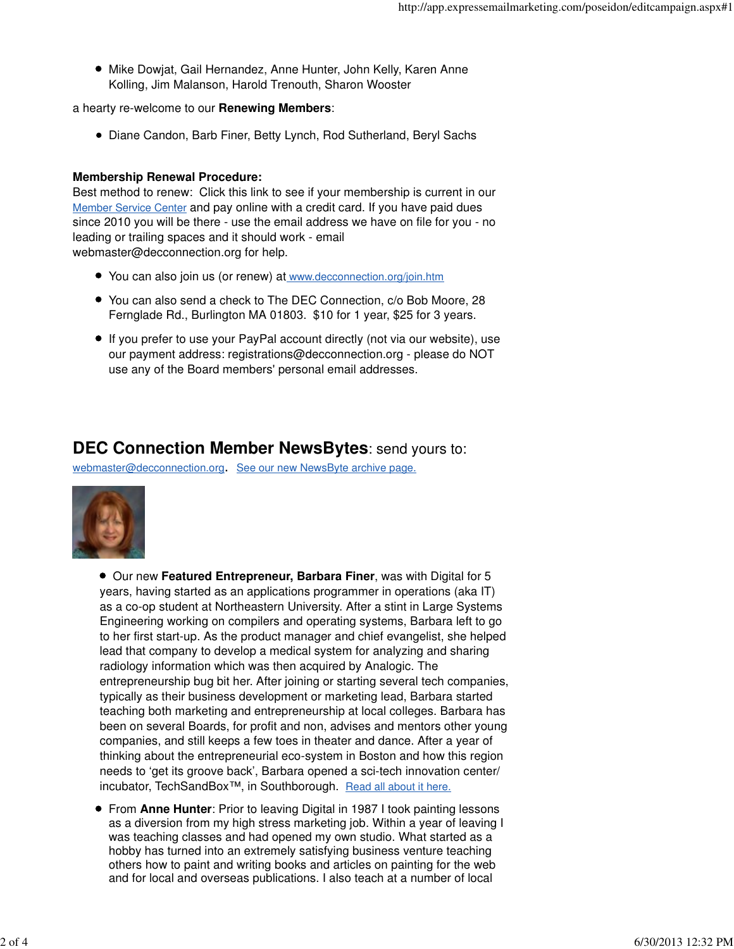Mike Dowjat, Gail Hernandez, Anne Hunter, John Kelly, Karen Anne Kolling, Jim Malanson, Harold Trenouth, Sharon Wooster

a hearty re-welcome to our **Renewing Members**:

Diane Candon, Barb Finer, Betty Lynch, Rod Sutherland, Beryl Sachs

#### **Membership Renewal Procedure:**

Best method to renew: Click this link to see if your membership is current in our Member Service Center and pay online with a credit card. If you have paid dues since 2010 you will be there - use the email address we have on file for you - no leading or trailing spaces and it should work - email webmaster@decconnection.org for help.

- You can also join us (or renew) at www.decconnection.org/join.htm
- You can also send a check to The DEC Connection, c/o Bob Moore, 28 Fernglade Rd., Burlington MA 01803. \$10 for 1 year, \$25 for 3 years.
- If you prefer to use your PayPal account directly (not via our website), use our payment address: registrations@decconnection.org - please do NOT use any of the Board members' personal email addresses.

## **DEC Connection Member NewsBytes**: send yours to:

webmaster@decconnection.org. See our new NewsByte archive page.



Our new **Featured Entrepreneur, Barbara Finer**, was with Digital for 5 years, having started as an applications programmer in operations (aka IT) as a co-op student at Northeastern University. After a stint in Large Systems Engineering working on compilers and operating systems, Barbara left to go to her first start-up. As the product manager and chief evangelist, she helped lead that company to develop a medical system for analyzing and sharing radiology information which was then acquired by Analogic. The entrepreneurship bug bit her. After joining or starting several tech companies, typically as their business development or marketing lead, Barbara started teaching both marketing and entrepreneurship at local colleges. Barbara has been on several Boards, for profit and non, advises and mentors other young companies, and still keeps a few toes in theater and dance. After a year of thinking about the entrepreneurial eco-system in Boston and how this region needs to 'get its groove back', Barbara opened a sci-tech innovation center/ incubator, TechSandBox™, in Southborough. Read all about it here.

From **Anne Hunter**: Prior to leaving Digital in 1987 I took painting lessons as a diversion from my high stress marketing job. Within a year of leaving I was teaching classes and had opened my own studio. What started as a hobby has turned into an extremely satisfying business venture teaching others how to paint and writing books and articles on painting for the web and for local and overseas publications. I also teach at a number of local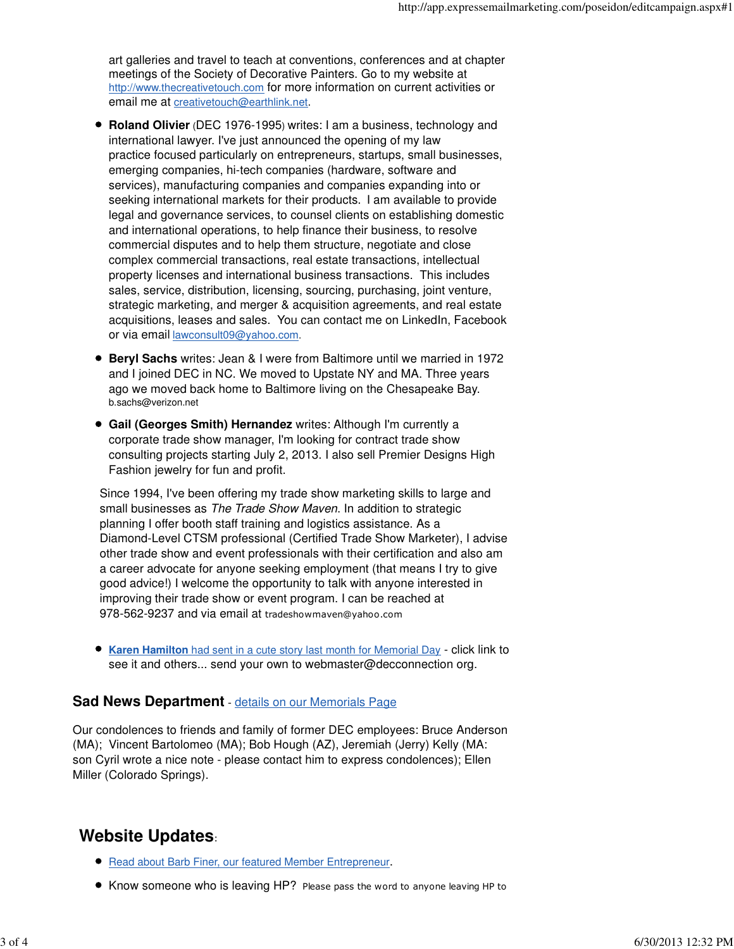art galleries and travel to teach at conventions, conferences and at chapter meetings of the Society of Decorative Painters. Go to my website at http://www.thecreativetouch.com for more information on current activities or email me at creativetouch@earthlink.net.

- **Roland Olivier** (DEC 1976-1995) writes: I am a business, technology and international lawyer. I've just announced the opening of my law practice focused particularly on entrepreneurs, startups, small businesses, emerging companies, hi-tech companies (hardware, software and services), manufacturing companies and companies expanding into or seeking international markets for their products. I am available to provide legal and governance services, to counsel clients on establishing domestic and international operations, to help finance their business, to resolve commercial disputes and to help them structure, negotiate and close complex commercial transactions, real estate transactions, intellectual property licenses and international business transactions. This includes sales, service, distribution, licensing, sourcing, purchasing, joint venture, strategic marketing, and merger & acquisition agreements, and real estate acquisitions, leases and sales. You can contact me on LinkedIn, Facebook or via email lawconsult09@yahoo.com.
- **Beryl Sachs** writes: Jean & I were from Baltimore until we married in 1972 and I joined DEC in NC. We moved to Upstate NY and MA. Three years ago we moved back home to Baltimore living on the Chesapeake Bay. b.sachs@verizon.net
- **Gail (Georges Smith) Hernandez** writes: Although I'm currently a corporate trade show manager, I'm looking for contract trade show consulting projects starting July 2, 2013. I also sell Premier Designs High Fashion jewelry for fun and profit.

Since 1994, I've been offering my trade show marketing skills to large and small businesses as The Trade Show Maven. In addition to strategic planning I offer booth staff training and logistics assistance. As a Diamond-Level CTSM professional (Certified Trade Show Marketer), I advise other trade show and event professionals with their certification and also am a career advocate for anyone seeking employment (that means I try to give good advice!) I welcome the opportunity to talk with anyone interested in improving their trade show or event program. I can be reached at 978-562-9237 and via email at tradeshowmaven@yahoo.com

**Karen Hamilton** had sent in a cute story last month for Memorial Day - click link to see it and others... send your own to webmaster@decconnection org.

### **Sad News Department** - details on our Memorials Page

Our condolences to friends and family of former DEC employees: Bruce Anderson (MA); Vincent Bartolomeo (MA); Bob Hough (AZ), Jeremiah (Jerry) Kelly (MA: son Cyril wrote a nice note - please contact him to express condolences); Ellen Miller (Colorado Springs).

## **Website Updates**:

- **Read about Barb Finer, our featured Member Entrepreneur.**
- Know someone who is leaving HP? Please pass the word to anyone leaving HP to